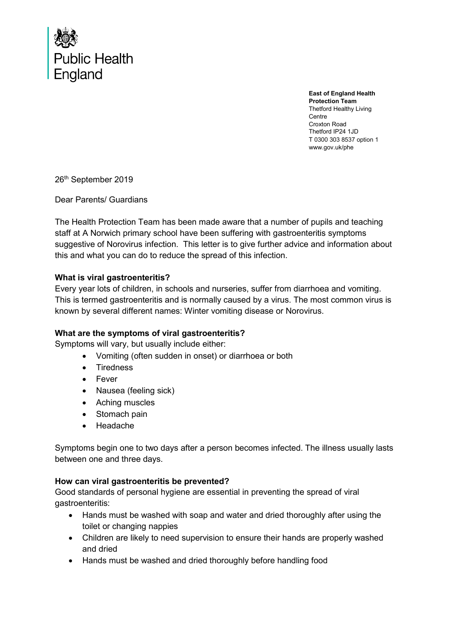

**East of England Health Protection Team** Thetford Healthy Living Centre Croxton Road Thetford IP24 1JD T 0300 303 8537 option 1 www.gov.uk/phe

26<sup>th</sup> September 2019

Dear Parents/ Guardians

The Health Protection Team has been made aware that a number of pupils and teaching staff at A Norwich primary school have been suffering with gastroenteritis symptoms suggestive of Norovirus infection. This letter is to give further advice and information about this and what you can do to reduce the spread of this infection.

## **What is viral gastroenteritis?**

Every year lots of children, in schools and nurseries, suffer from diarrhoea and vomiting. This is termed gastroenteritis and is normally caused by a virus. The most common virus is known by several different names: Winter vomiting disease or Norovirus.

## **What are the symptoms of viral gastroenteritis?**

Symptoms will vary, but usually include either:

- Vomiting (often sudden in onset) or diarrhoea or both
- Tiredness
- Fever
- Nausea (feeling sick)
- Aching muscles
- Stomach pain
- Headache

Symptoms begin one to two days after a person becomes infected. The illness usually lasts between one and three days.

## **How can viral gastroenteritis be prevented?**

Good standards of personal hygiene are essential in preventing the spread of viral gastroenteritis:

- Hands must be washed with soap and water and dried thoroughly after using the toilet or changing nappies
- Children are likely to need supervision to ensure their hands are properly washed and dried
- Hands must be washed and dried thoroughly before handling food